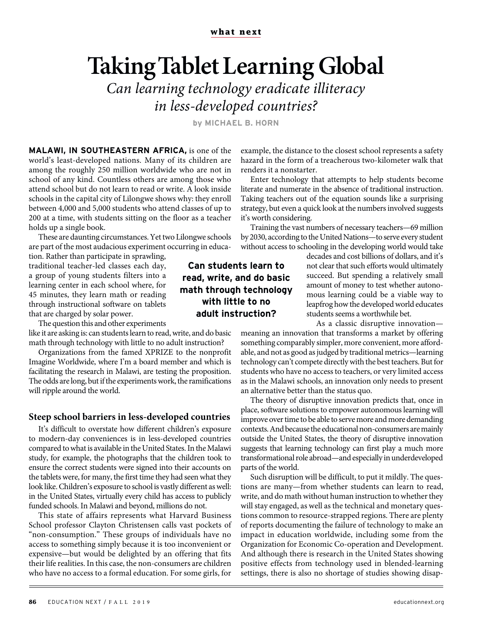## **Taking Tablet Learning Global** *Can learning technology eradicate illiteracy*

*in less-developed countries?*

**by MICHAEL B. HORN**

**MALAWI, IN SOUTHEASTERN AFRICA,** is one of the world's least-developed nations. Many of its children are among the roughly 250 million worldwide who are not in school of any kind. Countless others are among those who attend school but do not learn to read or write. A look inside schools in the capital city of Lilongwe shows why: they enroll between 4,000 and 5,000 students who attend classes of up to 200 at a time, with students sitting on the floor as a teacher holds up a single book.

These are daunting circumstances. Yet two Lilongwe schools are part of the most audacious experiment occurring in educa-

tion. Rather than participate in sprawling, traditional teacher-led classes each day, a group of young students filters into a learning center in each school where, for 45 minutes, they learn math or reading through instructional software on tablets that are charged by solar power.

The question this and other experiments

like it are asking is: can students learn to read, write, and do basic math through technology with little to no adult instruction?

Organizations from the famed XPRIZE to the nonprofit Imagine Worldwide, where I'm a board member and which is facilitating the research in Malawi, are testing the proposition. The odds are long, but if the experiments work, the ramifications will ripple around the world.

## **Steep school barriers in less-developed countries**

It's difficult to overstate how different children's exposure to modern-day conveniences is in less-developed countries compared to what is available in the United States. In the Malawi study, for example, the photographs that the children took to ensure the correct students were signed into their accounts on the tablets were, for many, the first time they had seen what they look like. Children's exposure to school is vastly different as well: in the United States, virtually every child has access to publicly funded schools. In Malawi and beyond, millions do not.

This state of affairs represents what Harvard Business School professor Clayton Christensen calls vast pockets of "non-consumption." These groups of individuals have no access to something simply because it is too inconvenient or expensive—but would be delighted by an offering that fits their life realities. In this case, the non-consumers are children who have no access to a formal education. For some girls, for

example, the distance to the closest school represents a safety hazard in the form of a treacherous two-kilometer walk that renders it a nonstarter.

Enter technology that attempts to help students become literate and numerate in the absence of traditional instruction. Taking teachers out of the equation sounds like a surprising strategy, but even a quick look at the numbers involved suggests it's worth considering.

Training the vast numbers of necessary teachers—69 million by 2030, according to the United Nations—to serve every student without access to schooling in the developing world would take

decades and cost billions of dollars, and it's not clear that such efforts would ultimately succeed. But spending a relatively small amount of money to test whether autonomous learning could be a viable way to leapfrog how the developed world educates students seems a worthwhile bet.

As a classic disruptive innovation—

meaning an innovation that transforms a market by offering something comparably simpler, more convenient, more affordable, and not as good as judged by traditional metrics—learning technology can't compete directly with the best teachers. But for students who have no access to teachers, or very limited access as in the Malawi schools, an innovation only needs to present an alternative better than the status quo.

The theory of disruptive innovation predicts that, once in place, software solutions to empower autonomous learning will improve over time to be able to serve more and more demanding contexts. And because the educational non-consumers are mainly outside the United States, the theory of disruptive innovation suggests that learning technology can first play a much more transformational role abroad—and especially in underdeveloped parts of the world.

Such disruption will be difficult, to put it mildly. The questions are many—from whether students can learn to read, write, and do math without human instruction to whether they will stay engaged, as well as the technical and monetary questions common to resource-strapped regions. There are plenty of reports documenting the failure of technology to make an impact in education worldwide, including some from the Organization for Economic Co-operation and Development. And although there is research in the United States showing positive effects from technology used in blended-learning settings, there is also no shortage of studies showing disap-

## **Can students learn to read, write, and do basic math through technology with little to no adult instruction?**